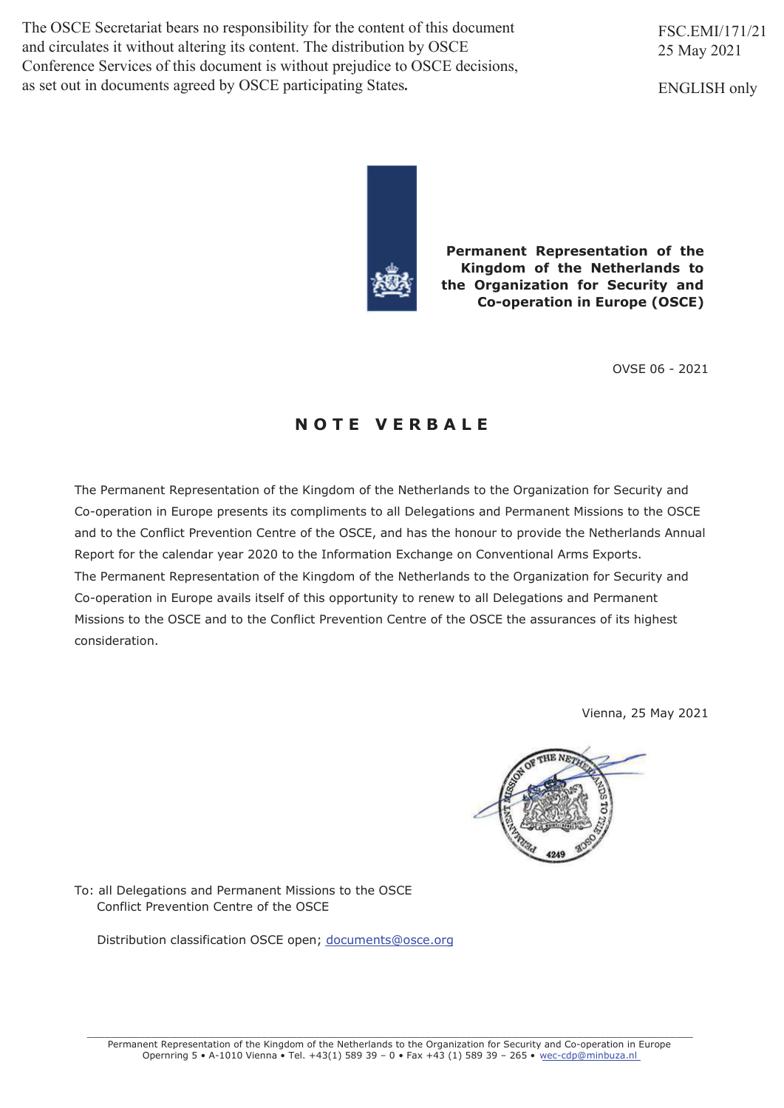The OSCE Secretariat bears no responsibility for the content of this document and circulates it without altering its content. The distribution by OSCE Conference Services of this document is without prejudice to OSCE decisions, as set out in documents agreed by OSCE participating States.

FSC.EMI/171/21 25 May 2021

ENGLISH only



**Permanent Representation of the Kingdom of the Netherlands to the Organization for Security and Co-operation in Europe (OSCE)** 

OVSE 06 - 2021

# **N O T E V E R B A L E**

The Permanent Representation of the Kingdom of the Netherlands to the Organization for Security and Co-operation in Europe presents its compliments to all Delegations and Permanent Missions to the OSCE and to the Conflict Prevention Centre of the OSCE, and has the honour to provide the Netherlands Annual Report for the calendar year 2020 to the Information Exchange on Conventional Arms Exports. The Permanent Representation of the Kingdom of the Netherlands to the Organization for Security and Co-operation in Europe avails itself of this opportunity to renew to all Delegations and Permanent Missions to the OSCE and to the Conflict Prevention Centre of the OSCE the assurances of its highest consideration.

Vienna, 25 May 2021



To: all Delegations and Permanent Missions to the OSCE Conflict Prevention Centre of the OSCE

Distribution classification OSCE open; documents@osce.org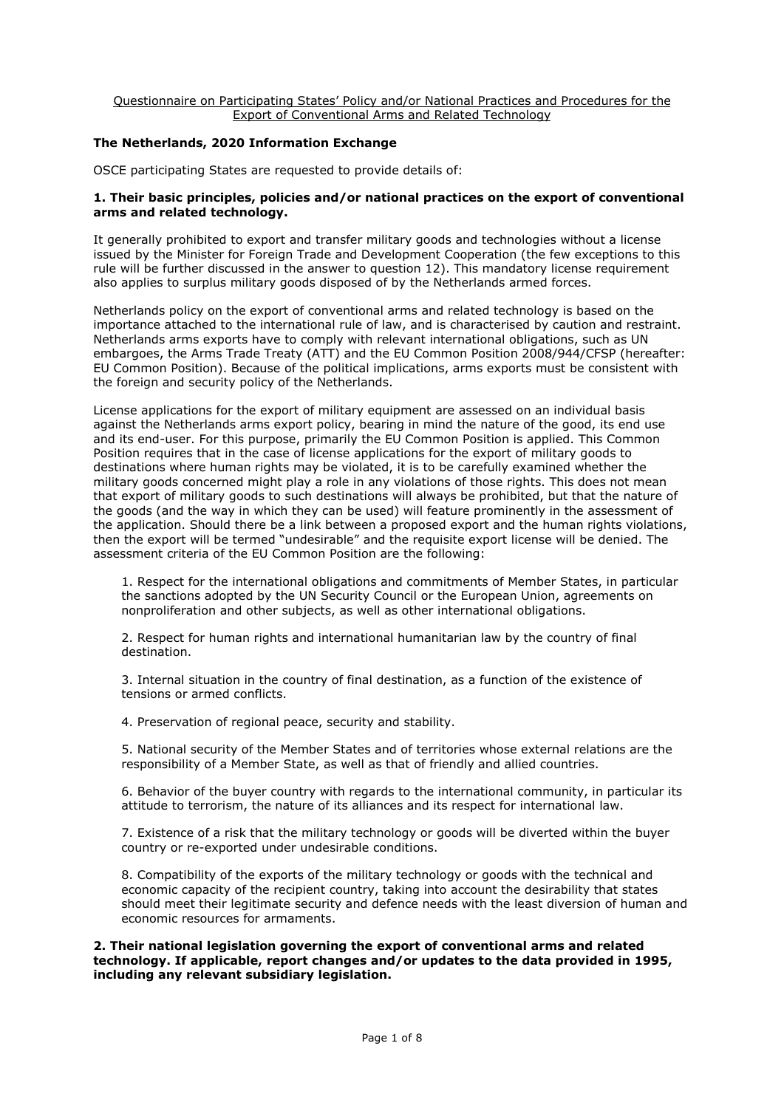## **The Netherlands, 2020 Information Exchange**

OSCE participating States are requested to provide details of:

## **1. Their basic principles, policies and/or national practices on the export of conventional arms and related technology.**

It generally prohibited to export and transfer military goods and technologies without a license issued by the Minister for Foreign Trade and Development Cooperation (the few exceptions to this rule will be further discussed in the answer to question 12). This mandatory license requirement also applies to surplus military goods disposed of by the Netherlands armed forces.

Netherlands policy on the export of conventional arms and related technology is based on the importance attached to the international rule of law, and is characterised by caution and restraint. Netherlands arms exports have to comply with relevant international obligations, such as UN embargoes, the Arms Trade Treaty (ATT) and the EU Common Position 2008/944/CFSP (hereafter: EU Common Position). Because of the political implications, arms exports must be consistent with the foreign and security policy of the Netherlands.

License applications for the export of military equipment are assessed on an individual basis against the Netherlands arms export policy, bearing in mind the nature of the good, its end use and its end-user. For this purpose, primarily the EU Common Position is applied. This Common Position requires that in the case of license applications for the export of military goods to destinations where human rights may be violated, it is to be carefully examined whether the military goods concerned might play a role in any violations of those rights. This does not mean that export of military goods to such destinations will always be prohibited, but that the nature of the goods (and the way in which they can be used) will feature prominently in the assessment of the application. Should there be a link between a proposed export and the human rights violations, then the export will be termed "undesirable" and the requisite export license will be denied. The assessment criteria of the EU Common Position are the following:

1. Respect for the international obligations and commitments of Member States, in particular the sanctions adopted by the UN Security Council or the European Union, agreements on nonproliferation and other subjects, as well as other international obligations.

2. Respect for human rights and international humanitarian law by the country of final destination.

3. Internal situation in the country of final destination, as a function of the existence of tensions or armed conflicts.

4. Preservation of regional peace, security and stability.

5. National security of the Member States and of territories whose external relations are the responsibility of a Member State, as well as that of friendly and allied countries.

6. Behavior of the buyer country with regards to the international community, in particular its attitude to terrorism, the nature of its alliances and its respect for international law.

7. Existence of a risk that the military technology or goods will be diverted within the buyer country or re-exported under undesirable conditions.

8. Compatibility of the exports of the military technology or goods with the technical and economic capacity of the recipient country, taking into account the desirability that states should meet their legitimate security and defence needs with the least diversion of human and economic resources for armaments.

**2. Their national legislation governing the export of conventional arms and related technology. If applicable, report changes and/or updates to the data provided in 1995, including any relevant subsidiary legislation.**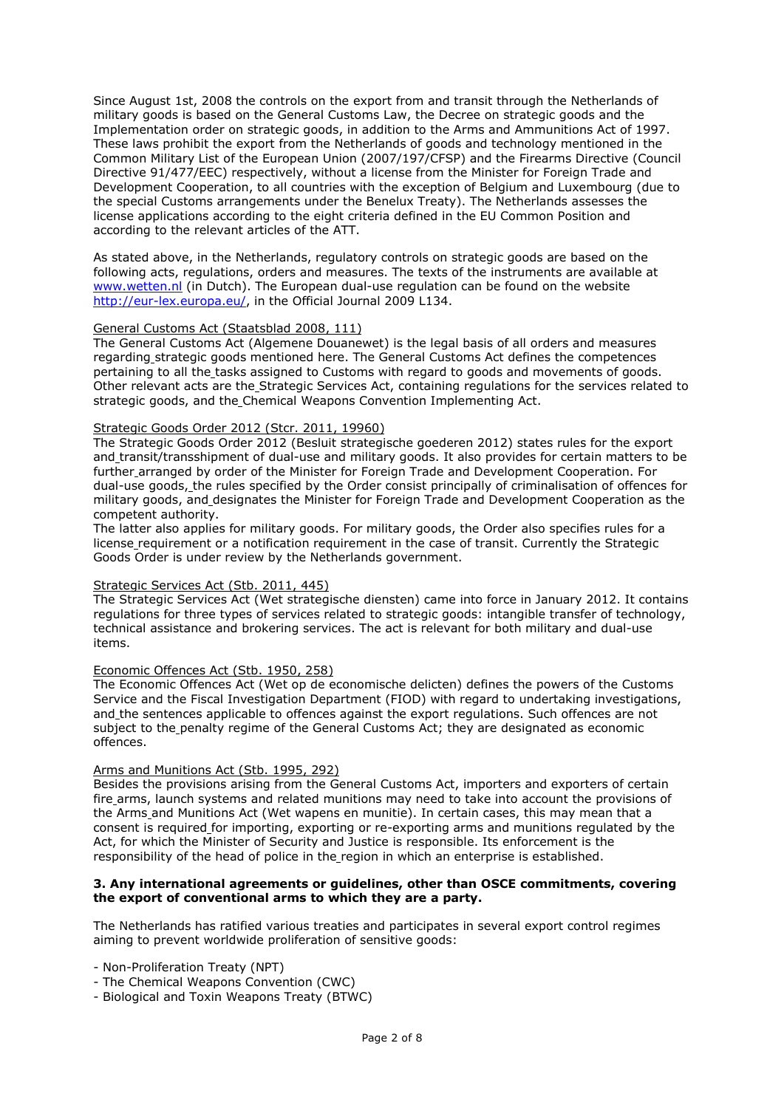Since August 1st, 2008 the controls on the export from and transit through the Netherlands of military goods is based on the General Customs Law, the Decree on strategic goods and the Implementation order on strategic goods, in addition to the Arms and Ammunitions Act of 1997. These laws prohibit the export from the Netherlands of goods and technology mentioned in the Common Military List of the European Union (2007/197/CFSP) and the Firearms Directive (Council Directive 91/477/EEC) respectively, without a license from the Minister for Foreign Trade and Development Cooperation, to all countries with the exception of Belgium and Luxembourg (due to the special Customs arrangements under the Benelux Treaty). The Netherlands assesses the license applications according to the eight criteria defined in the EU Common Position and according to the relevant articles of the ATT.

As stated above, in the Netherlands, regulatory controls on strategic goods are based on the following acts, regulations, orders and measures. The texts of the instruments are available at www.wetten.nl (in Dutch). The European dual-use regulation can be found on the website http://eur-lex.europa.eu/, in the Official Journal 2009 L134.

#### General Customs Act (Staatsblad 2008, 111)

The General Customs Act (Algemene Douanewet) is the legal basis of all orders and measures regarding strategic goods mentioned here. The General Customs Act defines the competences pertaining to all the tasks assigned to Customs with regard to goods and movements of goods. Other relevant acts are the Strategic Services Act, containing regulations for the services related to strategic goods, and the Chemical Weapons Convention Implementing Act.

#### Strategic Goods Order 2012 (Stcr. 2011, 19960)

The Strategic Goods Order 2012 (Besluit strategische goederen 2012) states rules for the export and transit/transshipment of dual-use and military goods. It also provides for certain matters to be further arranged by order of the Minister for Foreign Trade and Development Cooperation. For dual-use goods, the rules specified by the Order consist principally of criminalisation of offences for military goods, and designates the Minister for Foreign Trade and Development Cooperation as the competent authority.

The latter also applies for military goods. For military goods, the Order also specifies rules for a license requirement or a notification requirement in the case of transit. Currently the Strategic Goods Order is under review by the Netherlands government.

#### Strategic Services Act (Stb. 2011, 445)

The Strategic Services Act (Wet strategische diensten) came into force in January 2012. It contains regulations for three types of services related to strategic goods: intangible transfer of technology, technical assistance and brokering services. The act is relevant for both military and dual-use items.

## Economic Offences Act (Stb. 1950, 258)

The Economic Offences Act (Wet op de economische delicten) defines the powers of the Customs Service and the Fiscal Investigation Department (FIOD) with regard to undertaking investigations, and the sentences applicable to offences against the export regulations. Such offences are not subject to the penalty regime of the General Customs Act; they are designated as economic offences.

#### Arms and Munitions Act (Stb. 1995, 292)

Besides the provisions arising from the General Customs Act, importers and exporters of certain fire arms, launch systems and related munitions may need to take into account the provisions of the Arms and Munitions Act (Wet wapens en munitie). In certain cases, this may mean that a consent is required for importing, exporting or re-exporting arms and munitions regulated by the Act, for which the Minister of Security and Justice is responsible. Its enforcement is the responsibility of the head of police in the region in which an enterprise is established.

## **3. Any international agreements or guidelines, other than OSCE commitments, covering the export of conventional arms to which they are a party.**

The Netherlands has ratified various treaties and participates in several export control regimes aiming to prevent worldwide proliferation of sensitive goods:

- Non-Proliferation Treaty (NPT)

- The Chemical Weapons Convention (CWC)
- Biological and Toxin Weapons Treaty (BTWC)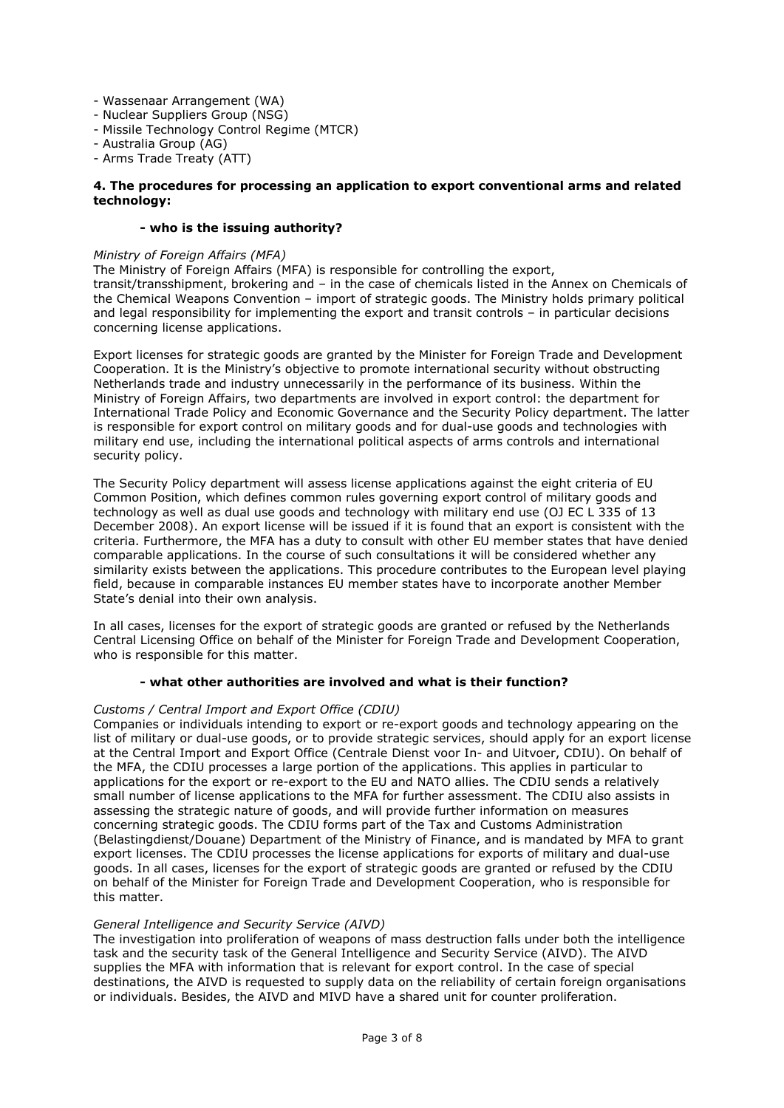- Wassenaar Arrangement (WA)
- Nuclear Suppliers Group (NSG)
- Missile Technology Control Regime (MTCR)
- Australia Group (AG)
- Arms Trade Treaty (ATT)

#### **4. The procedures for processing an application to export conventional arms and related technology:**

## **- who is the issuing authority?**

#### *Ministry of Foreign Affairs (MFA)*

concerning license applications.

The Ministry of Foreign Affairs (MFA) is responsible for controlling the export, transit/transshipment, brokering and – in the case of chemicals listed in the Annex on Chemicals of the Chemical Weapons Convention – import of strategic goods. The Ministry holds primary political and legal responsibility for implementing the export and transit controls – in particular decisions

Export licenses for strategic goods are granted by the Minister for Foreign Trade and Development Cooperation. It is the Ministry's objective to promote international security without obstructing Netherlands trade and industry unnecessarily in the performance of its business. Within the Ministry of Foreign Affairs, two departments are involved in export control: the department for International Trade Policy and Economic Governance and the Security Policy department. The latter is responsible for export control on military goods and for dual-use goods and technologies with military end use, including the international political aspects of arms controls and international security policy.

The Security Policy department will assess license applications against the eight criteria of EU Common Position, which defines common rules governing export control of military goods and technology as well as dual use goods and technology with military end use (OJ EC L 335 of 13 December 2008). An export license will be issued if it is found that an export is consistent with the criteria. Furthermore, the MFA has a duty to consult with other EU member states that have denied comparable applications. In the course of such consultations it will be considered whether any similarity exists between the applications. This procedure contributes to the European level playing field, because in comparable instances EU member states have to incorporate another Member State's denial into their own analysis.

In all cases, licenses for the export of strategic goods are granted or refused by the Netherlands Central Licensing Office on behalf of the Minister for Foreign Trade and Development Cooperation, who is responsible for this matter.

#### **- what other authorities are involved and what is their function?**

#### *Customs / Central Import and Export Office (CDIU)*

Companies or individuals intending to export or re-export goods and technology appearing on the list of military or dual-use goods, or to provide strategic services, should apply for an export license at the Central Import and Export Office (Centrale Dienst voor In- and Uitvoer, CDIU). On behalf of the MFA, the CDIU processes a large portion of the applications. This applies in particular to applications for the export or re-export to the EU and NATO allies. The CDIU sends a relatively small number of license applications to the MFA for further assessment. The CDIU also assists in assessing the strategic nature of goods, and will provide further information on measures concerning strategic goods. The CDIU forms part of the Tax and Customs Administration (Belastingdienst/Douane) Department of the Ministry of Finance, and is mandated by MFA to grant export licenses. The CDIU processes the license applications for exports of military and dual-use goods. In all cases, licenses for the export of strategic goods are granted or refused by the CDIU on behalf of the Minister for Foreign Trade and Development Cooperation, who is responsible for this matter.

#### *General Intelligence and Security Service (AIVD)*

The investigation into proliferation of weapons of mass destruction falls under both the intelligence task and the security task of the General Intelligence and Security Service (AIVD). The AIVD supplies the MFA with information that is relevant for export control. In the case of special destinations, the AIVD is requested to supply data on the reliability of certain foreign organisations or individuals. Besides, the AIVD and MIVD have a shared unit for counter proliferation.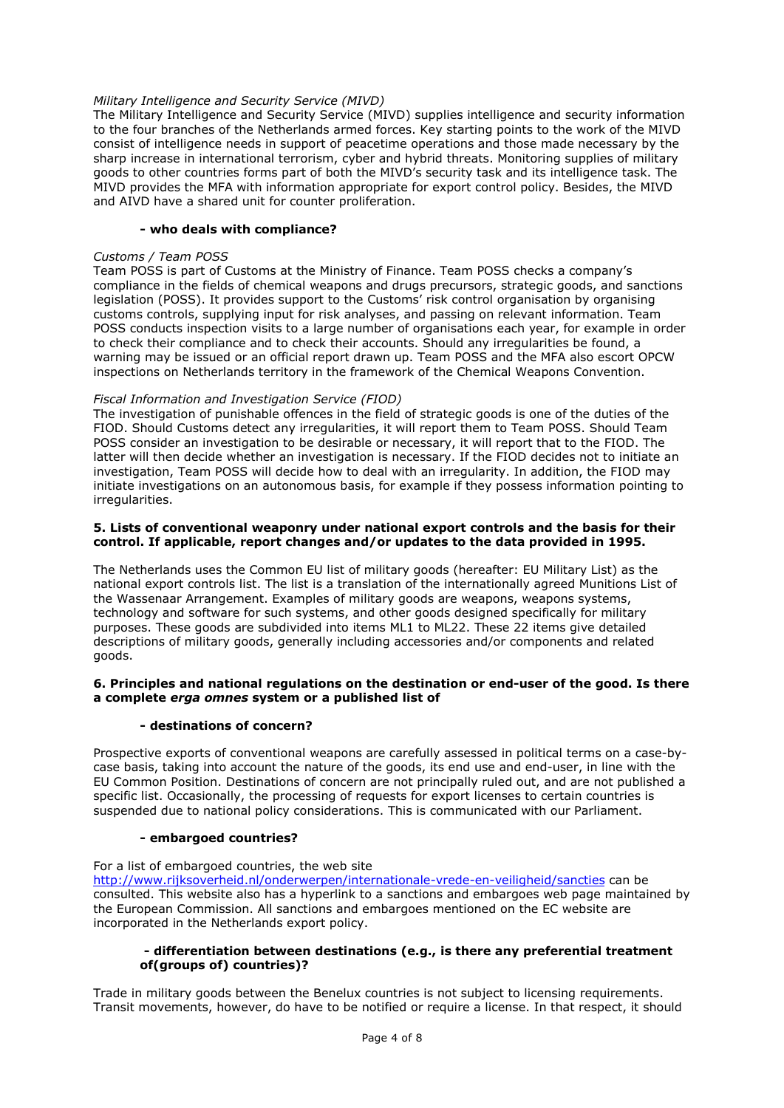## *Military Intelligence and Security Service (MIVD)*

The Military Intelligence and Security Service (MIVD) supplies intelligence and security information to the four branches of the Netherlands armed forces. Key starting points to the work of the MIVD consist of intelligence needs in support of peacetime operations and those made necessary by the sharp increase in international terrorism, cyber and hybrid threats. Monitoring supplies of military goods to other countries forms part of both the MIVD's security task and its intelligence task. The MIVD provides the MFA with information appropriate for export control policy. Besides, the MIVD and AIVD have a shared unit for counter proliferation.

## **- who deals with compliance?**

#### *Customs / Team POSS*

Team POSS is part of Customs at the Ministry of Finance. Team POSS checks a company's compliance in the fields of chemical weapons and drugs precursors, strategic goods, and sanctions legislation (POSS). It provides support to the Customs' risk control organisation by organising customs controls, supplying input for risk analyses, and passing on relevant information. Team POSS conducts inspection visits to a large number of organisations each year, for example in order to check their compliance and to check their accounts. Should any irregularities be found, a warning may be issued or an official report drawn up. Team POSS and the MFA also escort OPCW inspections on Netherlands territory in the framework of the Chemical Weapons Convention.

## *Fiscal Information and Investigation Service (FIOD)*

The investigation of punishable offences in the field of strategic goods is one of the duties of the FIOD. Should Customs detect any irregularities, it will report them to Team POSS. Should Team POSS consider an investigation to be desirable or necessary, it will report that to the FIOD. The latter will then decide whether an investigation is necessary. If the FIOD decides not to initiate an investigation, Team POSS will decide how to deal with an irregularity. In addition, the FIOD may initiate investigations on an autonomous basis, for example if they possess information pointing to irregularities.

#### **5. Lists of conventional weaponry under national export controls and the basis for their control. If applicable, report changes and/or updates to the data provided in 1995.**

The Netherlands uses the Common EU list of military goods (hereafter: EU Military List) as the national export controls list. The list is a translation of the internationally agreed Munitions List of the Wassenaar Arrangement. Examples of military goods are weapons, weapons systems, technology and software for such systems, and other goods designed specifically for military purposes. These goods are subdivided into items ML1 to ML22. These 22 items give detailed descriptions of military goods, generally including accessories and/or components and related goods.

## **6. Principles and national regulations on the destination or end-user of the good. Is there a complete** *erga omnes* **system or a published list of**

## **- destinations of concern?**

Prospective exports of conventional weapons are carefully assessed in political terms on a case-bycase basis, taking into account the nature of the goods, its end use and end-user, in line with the EU Common Position. Destinations of concern are not principally ruled out, and are not published a specific list. Occasionally, the processing of requests for export licenses to certain countries is suspended due to national policy considerations. This is communicated with our Parliament.

#### **- embargoed countries?**

For a list of embargoed countries, the web site http://www.rijksoverheid.nl/onderwerpen/internationale-vrede-en-veiligheid/sancties can be consulted. This website also has a hyperlink to a sanctions and embargoes web page maintained by the European Commission. All sanctions and embargoes mentioned on the EC website are incorporated in the Netherlands export policy.

## **- differentiation between destinations (e.g., is there any preferential treatment of(groups of) countries)?**

Trade in military goods between the Benelux countries is not subject to licensing requirements. Transit movements, however, do have to be notified or require a license. In that respect, it should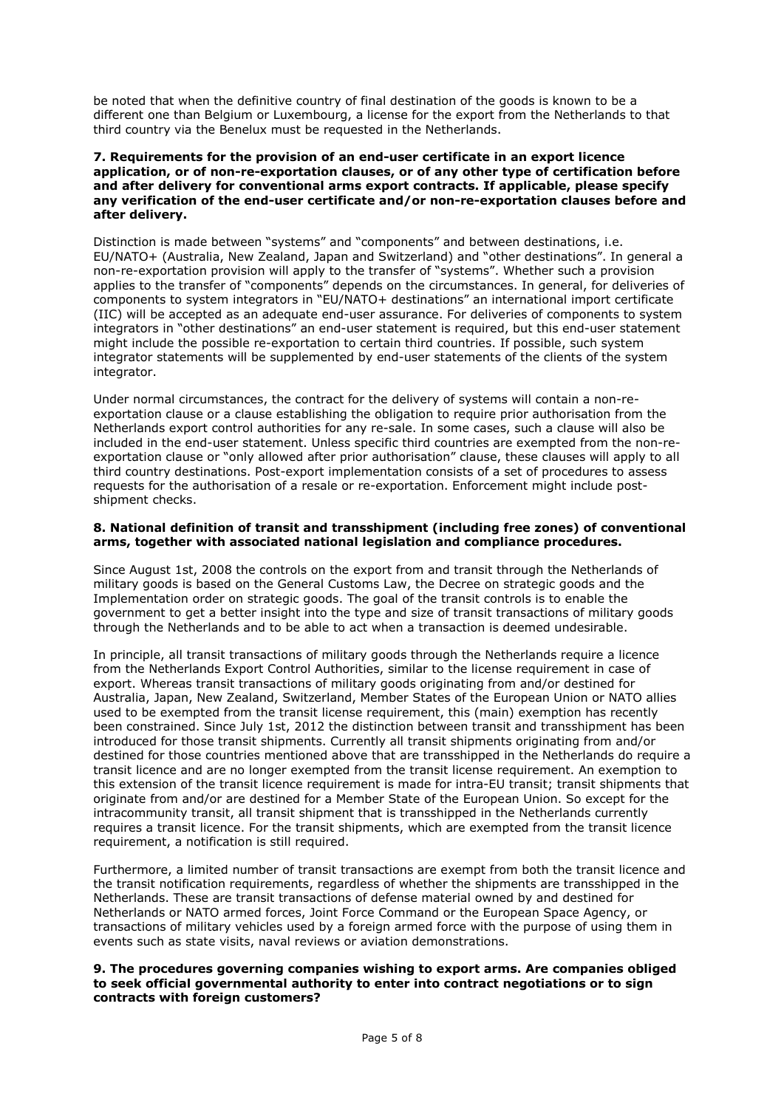be noted that when the definitive country of final destination of the goods is known to be a different one than Belgium or Luxembourg, a license for the export from the Netherlands to that third country via the Benelux must be requested in the Netherlands.

#### **7. Requirements for the provision of an end-user certificate in an export licence application, or of non-re-exportation clauses, or of any other type of certification before and after delivery for conventional arms export contracts. If applicable, please specify any verification of the end-user certificate and/or non-re-exportation clauses before and after delivery.**

Distinction is made between "systems" and "components" and between destinations, i.e. EU/NATO+ (Australia, New Zealand, Japan and Switzerland) and "other destinations". In general a non-re-exportation provision will apply to the transfer of "systems". Whether such a provision applies to the transfer of "components" depends on the circumstances. In general, for deliveries of components to system integrators in "EU/NATO+ destinations" an international import certificate (IIC) will be accepted as an adequate end-user assurance. For deliveries of components to system integrators in "other destinations" an end-user statement is required, but this end-user statement might include the possible re-exportation to certain third countries. If possible, such system integrator statements will be supplemented by end-user statements of the clients of the system integrator.

Under normal circumstances, the contract for the delivery of systems will contain a non-reexportation clause or a clause establishing the obligation to require prior authorisation from the Netherlands export control authorities for any re-sale. In some cases, such a clause will also be included in the end-user statement. Unless specific third countries are exempted from the non-reexportation clause or "only allowed after prior authorisation" clause, these clauses will apply to all third country destinations. Post-export implementation consists of a set of procedures to assess requests for the authorisation of a resale or re-exportation. Enforcement might include postshipment checks.

## **8. National definition of transit and transshipment (including free zones) of conventional arms, together with associated national legislation and compliance procedures.**

Since August 1st, 2008 the controls on the export from and transit through the Netherlands of military goods is based on the General Customs Law, the Decree on strategic goods and the Implementation order on strategic goods. The goal of the transit controls is to enable the government to get a better insight into the type and size of transit transactions of military goods through the Netherlands and to be able to act when a transaction is deemed undesirable.

In principle, all transit transactions of military goods through the Netherlands require a licence from the Netherlands Export Control Authorities, similar to the license requirement in case of export. Whereas transit transactions of military goods originating from and/or destined for Australia, Japan, New Zealand, Switzerland, Member States of the European Union or NATO allies used to be exempted from the transit license requirement, this (main) exemption has recently been constrained. Since July 1st, 2012 the distinction between transit and transshipment has been introduced for those transit shipments. Currently all transit shipments originating from and/or destined for those countries mentioned above that are transshipped in the Netherlands do require a transit licence and are no longer exempted from the transit license requirement. An exemption to this extension of the transit licence requirement is made for intra-EU transit; transit shipments that originate from and/or are destined for a Member State of the European Union. So except for the intracommunity transit, all transit shipment that is transshipped in the Netherlands currently requires a transit licence. For the transit shipments, which are exempted from the transit licence requirement, a notification is still required.

Furthermore, a limited number of transit transactions are exempt from both the transit licence and the transit notification requirements, regardless of whether the shipments are transshipped in the Netherlands. These are transit transactions of defense material owned by and destined for Netherlands or NATO armed forces, Joint Force Command or the European Space Agency, or transactions of military vehicles used by a foreign armed force with the purpose of using them in events such as state visits, naval reviews or aviation demonstrations.

## **9. The procedures governing companies wishing to export arms. Are companies obliged to seek official governmental authority to enter into contract negotiations or to sign contracts with foreign customers?**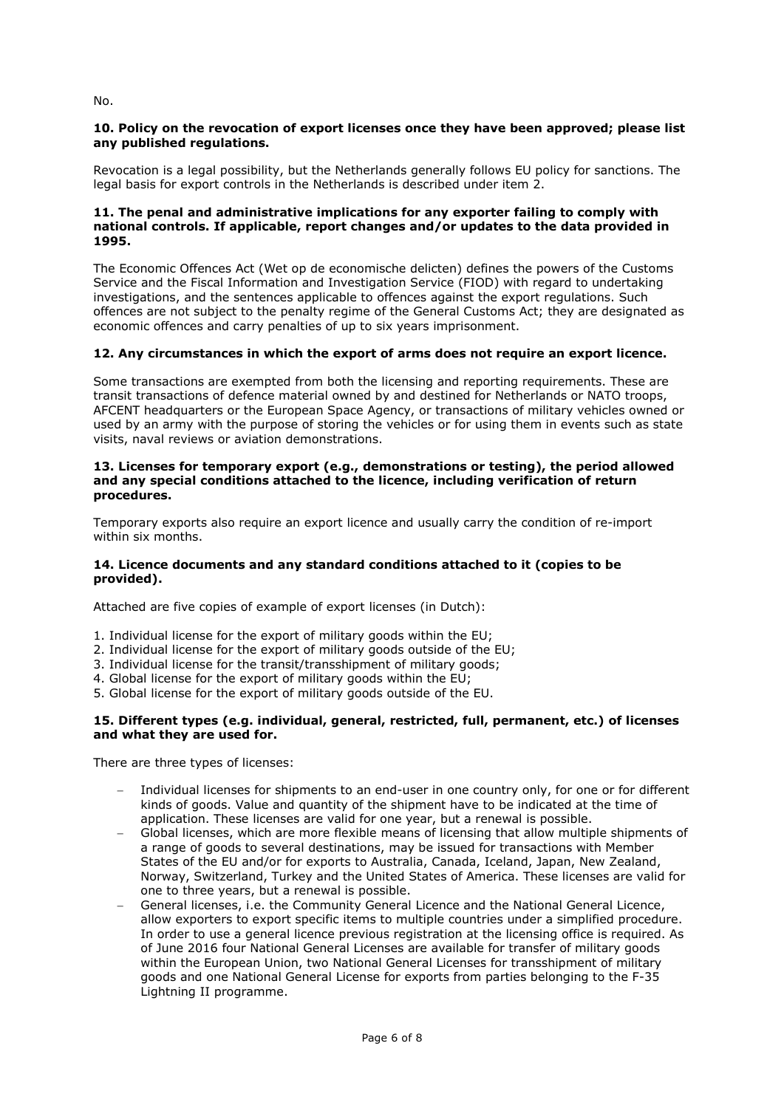# **10. Policy on the revocation of export licenses once they have been approved; please list any published regulations.**

Revocation is a legal possibility, but the Netherlands generally follows EU policy for sanctions. The legal basis for export controls in the Netherlands is described under item 2.

## **11. The penal and administrative implications for any exporter failing to comply with national controls. If applicable, report changes and/or updates to the data provided in 1995.**

The Economic Offences Act (Wet op de economische delicten) defines the powers of the Customs Service and the Fiscal Information and Investigation Service (FIOD) with regard to undertaking investigations, and the sentences applicable to offences against the export regulations. Such offences are not subject to the penalty regime of the General Customs Act; they are designated as economic offences and carry penalties of up to six years imprisonment.

# **12. Any circumstances in which the export of arms does not require an export licence.**

Some transactions are exempted from both the licensing and reporting requirements. These are transit transactions of defence material owned by and destined for Netherlands or NATO troops, AFCENT headquarters or the European Space Agency, or transactions of military vehicles owned or used by an army with the purpose of storing the vehicles or for using them in events such as state visits, naval reviews or aviation demonstrations.

## **13. Licenses for temporary export (e.g., demonstrations or testing), the period allowed and any special conditions attached to the licence, including verification of return procedures.**

Temporary exports also require an export licence and usually carry the condition of re-import within six months.

# **14. Licence documents and any standard conditions attached to it (copies to be provided).**

Attached are five copies of example of export licenses (in Dutch):

- 1. Individual license for the export of military goods within the EU;
- 2. Individual license for the export of military goods outside of the EU;
- 3. Individual license for the transit/transshipment of military goods;
- 4. Global license for the export of military goods within the EU;
- 5. Global license for the export of military goods outside of the EU.

# **15. Different types (e.g. individual, general, restricted, full, permanent, etc.) of licenses and what they are used for.**

There are three types of licenses:

- Individual licenses for shipments to an end-user in one country only, for one or for different kinds of goods. Value and quantity of the shipment have to be indicated at the time of application. These licenses are valid for one year, but a renewal is possible.
- Global licenses, which are more flexible means of licensing that allow multiple shipments of a range of goods to several destinations, may be issued for transactions with Member States of the EU and/or for exports to Australia, Canada, Iceland, Japan, New Zealand, Norway, Switzerland, Turkey and the United States of America. These licenses are valid for one to three years, but a renewal is possible.
- General licenses, i.e. the Community General Licence and the National General Licence, allow exporters to export specific items to multiple countries under a simplified procedure. In order to use a general licence previous registration at the licensing office is required. As of June 2016 four National General Licenses are available for transfer of military goods within the European Union, two National General Licenses for transshipment of military goods and one National General License for exports from parties belonging to the F-35 Lightning II programme.

No.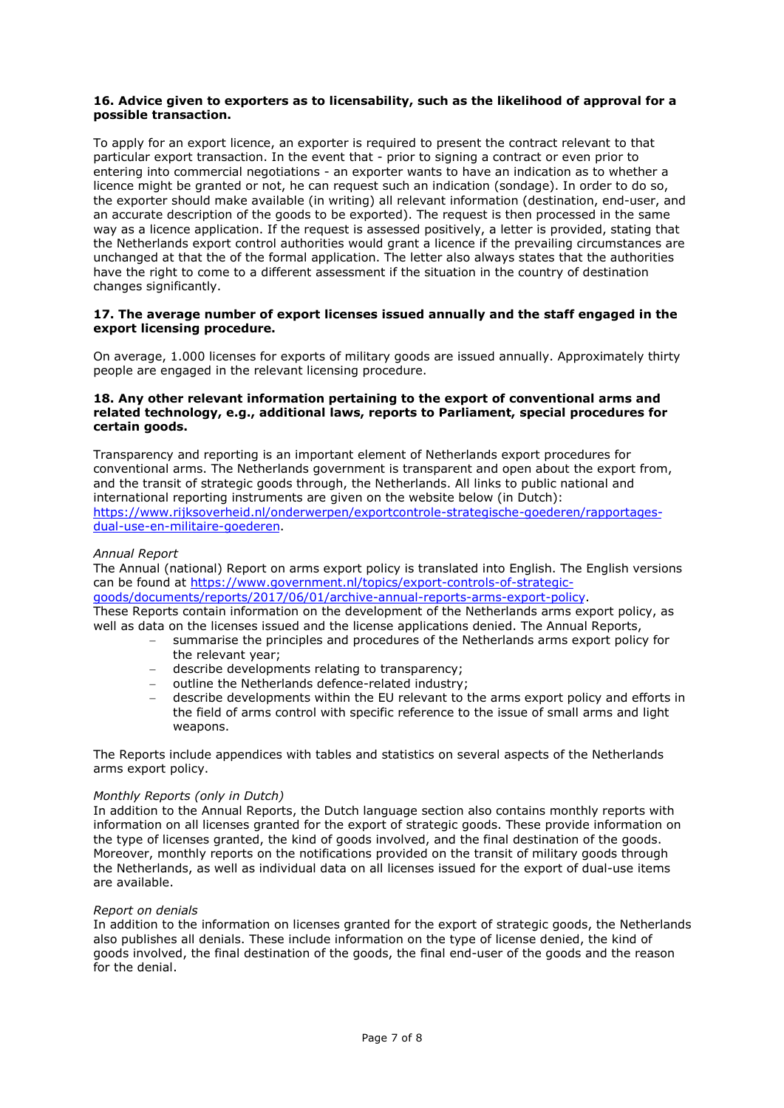#### **16. Advice given to exporters as to licensability, such as the likelihood of approval for a possible transaction.**

To apply for an export licence, an exporter is required to present the contract relevant to that particular export transaction. In the event that - prior to signing a contract or even prior to entering into commercial negotiations - an exporter wants to have an indication as to whether a licence might be granted or not, he can request such an indication (sondage). In order to do so, the exporter should make available (in writing) all relevant information (destination, end-user, and an accurate description of the goods to be exported). The request is then processed in the same way as a licence application. If the request is assessed positively, a letter is provided, stating that the Netherlands export control authorities would grant a licence if the prevailing circumstances are unchanged at that the of the formal application. The letter also always states that the authorities have the right to come to a different assessment if the situation in the country of destination changes significantly.

#### **17. The average number of export licenses issued annually and the staff engaged in the export licensing procedure.**

On average, 1.000 licenses for exports of military goods are issued annually. Approximately thirty people are engaged in the relevant licensing procedure.

## **18. Any other relevant information pertaining to the export of conventional arms and related technology, e.g., additional laws, reports to Parliament, special procedures for certain goods.**

Transparency and reporting is an important element of Netherlands export procedures for conventional arms. The Netherlands government is transparent and open about the export from, and the transit of strategic goods through, the Netherlands. All links to public national and international reporting instruments are given on the website below (in Dutch): https://www.rijksoverheid.nl/onderwerpen/exportcontrole-strategische-goederen/rapportagesdual-use-en-militaire-goederen.

## *Annual Report*

The Annual (national) Report on arms export policy is translated into English. The English versions can be found at https://www.government.nl/topics/export-controls-of-strategicgoods/documents/reports/2017/06/01/archive-annual-reports-arms-export-policy. These Reports contain information on the development of the Netherlands arms export policy, as well as data on the licenses issued and the license applications denied. The Annual Reports,

- summarise the principles and procedures of the Netherlands arms export policy for the relevant year;
- describe developments relating to transparency;
- outline the Netherlands defence-related industry;
- describe developments within the EU relevant to the arms export policy and efforts in the field of arms control with specific reference to the issue of small arms and light weapons.

The Reports include appendices with tables and statistics on several aspects of the Netherlands arms export policy.

#### *Monthly Reports (only in Dutch)*

In addition to the Annual Reports, the Dutch language section also contains monthly reports with information on all licenses granted for the export of strategic goods. These provide information on the type of licenses granted, the kind of goods involved, and the final destination of the goods. Moreover, monthly reports on the notifications provided on the transit of military goods through the Netherlands, as well as individual data on all licenses issued for the export of dual-use items are available.

#### *Report on denials*

In addition to the information on licenses granted for the export of strategic goods, the Netherlands also publishes all denials. These include information on the type of license denied, the kind of goods involved, the final destination of the goods, the final end-user of the goods and the reason for the denial.